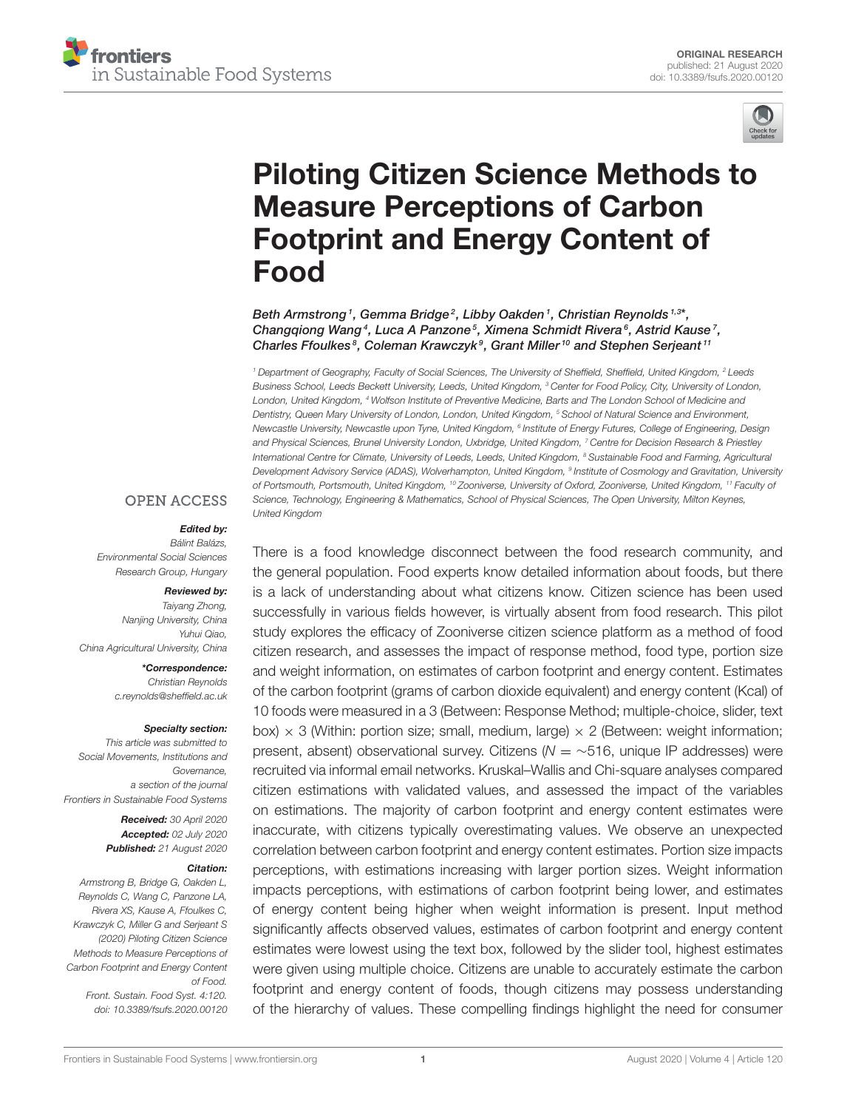



# [Piloting Citizen Science Methods to](https://www.frontiersin.org/articles/10.3389/fsufs.2020.00120/full) Measure Perceptions of Carbon Footprint and Energy Content of Food

[Beth Armstrong](http://loop.frontiersin.org/people/717720/overview)<sup>1</sup>, [Gemma Bridge](http://loop.frontiersin.org/people/968371/overview)<sup>2</sup>, [Libby Oakden](http://loop.frontiersin.org/people/1054333/overview)<sup>1</sup>, [Christian Reynolds](http://loop.frontiersin.org/people/638767/overview)<sup>1,3\*</sup>, Changqiong Wang<sup>4</sup>, [Luca A Panzone](http://loop.frontiersin.org/people/967707/overview)<sup>5</sup>, [Ximena Schmidt Rivera](http://loop.frontiersin.org/people/1053423/overview)<sup>6</sup>, Astrid Kause<sup>7</sup>, [Charles Ffoulkes](http://loop.frontiersin.org/people/1052312/overview)<sup>8</sup>, Coleman Krawczyk<sup>9</sup>, Grant Miller<sup>10</sup> and [Stephen Serjeant](http://loop.frontiersin.org/people/997972/overview)<sup>11</sup>

<sup>1</sup> Department of Geography, Faculty of Social Sciences, The University of Sheffield, Sheffield, United Kingdom, <sup>2</sup> Leeds Business School, Leeds Beckett University, Leeds, United Kingdom, <sup>3</sup> Center for Food Policy, City, University of London, London, United Kingdom, <sup>4</sup> Wolfson Institute of Preventive Medicine, Barts and The London School of Medicine and Dentistry, Queen Mary University of London, London, United Kingdom, <sup>5</sup> School of Natural Science and Environment, Newcastle University, Newcastle upon Tyne, United Kingdom, <sup>6</sup> Institute of Energy Futures, College of Engineering, Design and Physical Sciences, Brunel University London, Uxbridge, United Kingdom, 7 Centre for Decision Research & Priestley International Centre for Climate, University of Leeds, Leeds, United Kingdom, <sup>8</sup> Sustainable Food and Farming, Agricultural Development Advisory Service (ADAS), Wolverhampton, United Kingdom, <sup>9</sup> Institute of Cosmology and Gravitation, University of Portsmouth, Portsmouth, United Kingdom, <sup>10</sup> Zooniverse, University of Oxford, Zooniverse, United Kingdom, <sup>11</sup> Faculty of Science, Technology, Engineering & Mathematics, School of Physical Sciences, The Open University, Milton Keynes, United Kingdom

#### **OPEN ACCESS**

#### Edited by:

Bálint Balázs, Environmental Social Sciences Research Group, Hungary

#### Reviewed by: Taiyang Zhong,

Nanjing University, China Yuhui Qiao, China Agricultural University, China

> \*Correspondence: Christian Reynolds [c.reynolds@sheffield.ac.uk](mailto:c.reynolds@sheffield.ac.uk)

#### Specialty section:

This article was submitted to Social Movements, Institutions and Governance, a section of the journal Frontiers in Sustainable Food Systems

> Received: 30 April 2020 Accepted: 02 July 2020 Published: 21 August 2020

#### Citation:

Armstrong B, Bridge G, Oakden L, Reynolds C, Wang C, Panzone LA, Rivera XS, Kause A, Ffoulkes C, Krawczyk C, Miller G and Serjeant S (2020) Piloting Citizen Science Methods to Measure Perceptions of Carbon Footprint and Energy Content of Food. Front. Sustain. Food Syst. 4:120. doi: [10.3389/fsufs.2020.00120](https://doi.org/10.3389/fsufs.2020.00120)

There is a food knowledge disconnect between the food research community, and the general population. Food experts know detailed information about foods, but there is a lack of understanding about what citizens know. Citizen science has been used successfully in various fields however, is virtually absent from food research. This pilot study explores the efficacy of Zooniverse citizen science platform as a method of food citizen research, and assesses the impact of response method, food type, portion size and weight information, on estimates of carbon footprint and energy content. Estimates of the carbon footprint (grams of carbon dioxide equivalent) and energy content (Kcal) of 10 foods were measured in a 3 (Between: Response Method; multiple-choice, slider, text box)  $\times$  3 (Within: portion size; small, medium, large)  $\times$  2 (Between: weight information; present, absent) observational survey. Citizens (N = ∼516, unique IP addresses) were recruited via informal email networks. Kruskal–Wallis and Chi-square analyses compared citizen estimations with validated values, and assessed the impact of the variables on estimations. The majority of carbon footprint and energy content estimates were inaccurate, with citizens typically overestimating values. We observe an unexpected correlation between carbon footprint and energy content estimates. Portion size impacts perceptions, with estimations increasing with larger portion sizes. Weight information impacts perceptions, with estimations of carbon footprint being lower, and estimates of energy content being higher when weight information is present. Input method significantly affects observed values, estimates of carbon footprint and energy content estimates were lowest using the text box, followed by the slider tool, highest estimates were given using multiple choice. Citizens are unable to accurately estimate the carbon footprint and energy content of foods, though citizens may possess understanding of the hierarchy of values. These compelling findings highlight the need for consumer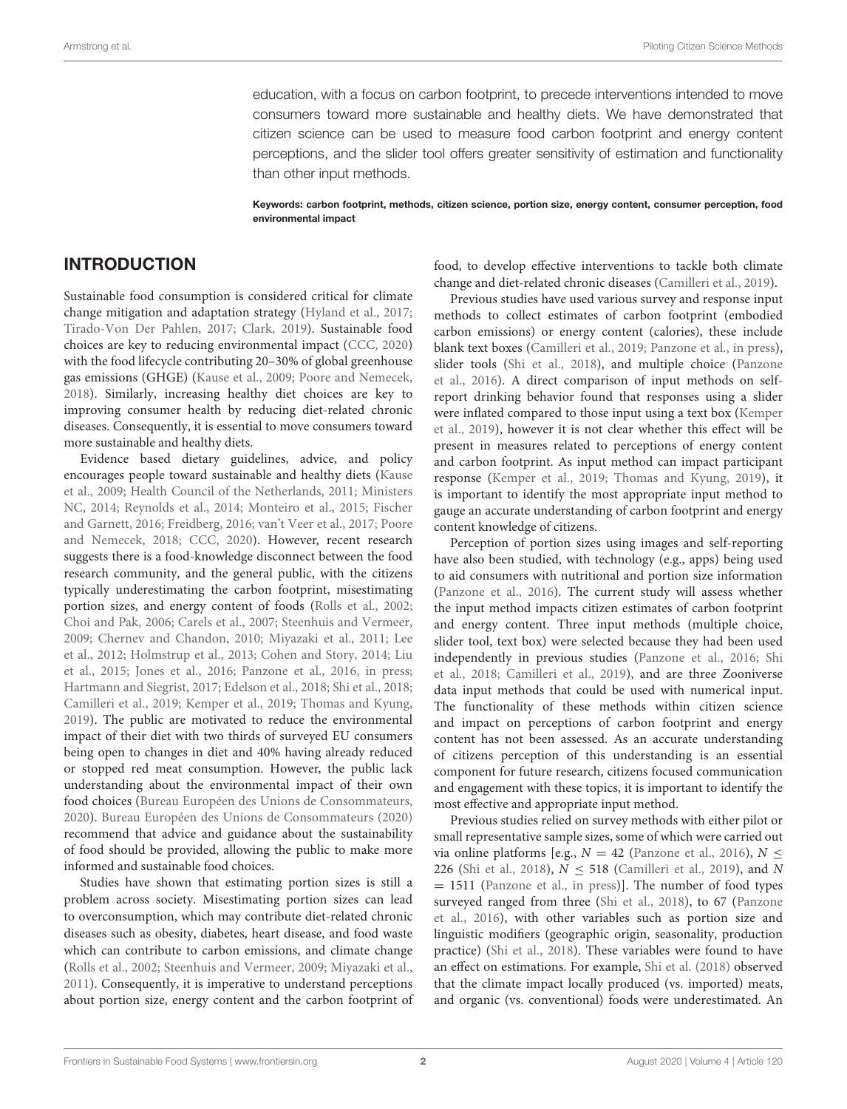education, with a focus on carbon footprint, to precede interventions intended to move consumers toward more sustainable and healthy diets. We have demonstrated that citizen science can be used to measure food carbon footprint and energy content perceptions, and the slider tool offers greater sensitivity of estimation and functionality than other input methods.

Keywords: carbon footprint, methods, citizen science, portion size, energy content, consumer perception, food environmental impact

## INTRODUCTION

Sustainable food consumption is considered critical for climate change mitigation and adaptation strategy [\(Hyland et al., 2017;](#page-9-0) [Tirado-Von Der Pahlen, 2017;](#page-9-1) [Clark, 2019\)](#page-8-0). Sustainable food choices are key to reducing environmental impact [\(CCC, 2020\)](#page-8-1) with the food lifecycle contributing 20–30% of global greenhouse gas emissions (GHGE) [\(Kause et al., 2009;](#page-9-2) [Poore and Nemecek,](#page-9-3) [2018\)](#page-9-3). Similarly, increasing healthy diet choices are key to improving consumer health by reducing diet-related chronic diseases. Consequently, it is essential to move consumers toward more sustainable and healthy diets.

Evidence based dietary guidelines, advice, and policy encourages people toward sustainable and healthy diets (Kause et al., [2009;](#page-9-2) [Health Council of the Netherlands, 2011;](#page-9-4) Ministers NC, [2014;](#page-9-5) [Reynolds et al., 2014;](#page-9-6) [Monteiro et al., 2015;](#page-9-7) Fischer and Garnett, [2016;](#page-9-8) [Freidberg, 2016;](#page-9-9) [van't Veer et al., 2017;](#page-9-10) Poore and Nemecek, [2018;](#page-9-3) [CCC, 2020\)](#page-8-1). However, recent research suggests there is a food-knowledge disconnect between the food research community, and the general public, with the citizens typically underestimating the carbon footprint, misestimating portion sizes, and energy content of foods [\(Rolls et al., 2002;](#page-9-11) [Choi and Pak, 2006;](#page-8-2) [Carels et al., 2007;](#page-8-3) [Steenhuis and Vermeer,](#page-9-12) [2009;](#page-9-12) [Chernev and Chandon, 2010;](#page-8-4) [Miyazaki et al., 2011;](#page-9-13) Lee et al., [2012;](#page-9-14) [Holmstrup et al., 2013;](#page-9-15) [Cohen and Story, 2014;](#page-8-5) Liu et al., [2015;](#page-9-16) [Jones et al., 2016;](#page-9-17) [Panzone et al., 2016,](#page-9-18) [in press;](#page-9-19) [Hartmann and Siegrist, 2017;](#page-9-20) [Edelson et al., 2018;](#page-8-6) [Shi et al., 2018;](#page-9-21) [Camilleri et al., 2019;](#page-8-7) [Kemper et al., 2019;](#page-9-22) [Thomas and Kyung,](#page-9-23) [2019\)](#page-9-23). The public are motivated to reduce the environmental impact of their diet with two thirds of surveyed EU consumers being open to changes in diet and 40% having already reduced or stopped red meat consumption. However, the public lack understanding about the environmental impact of their own food choices [\(Bureau Européen des Unions de Consommateurs,](#page-8-8) [2020\)](#page-8-8). [Bureau Européen des Unions de Consommateurs \(2020\)](#page-8-8) recommend that advice and guidance about the sustainability of food should be provided, allowing the public to make more informed and sustainable food choices.

Studies have shown that estimating portion sizes is still a problem across society. Misestimating portion sizes can lead to overconsumption, which may contribute diet-related chronic diseases such as obesity, diabetes, heart disease, and food waste which can contribute to carbon emissions, and climate change [\(Rolls et al., 2002;](#page-9-11) [Steenhuis and Vermeer, 2009;](#page-9-12) [Miyazaki et al.,](#page-9-13) [2011\)](#page-9-13). Consequently, it is imperative to understand perceptions about portion size, energy content and the carbon footprint of food, to develop effective interventions to tackle both climate change and diet-related chronic diseases [\(Camilleri et al., 2019\)](#page-8-7).

Previous studies have used various survey and response input methods to collect estimates of carbon footprint (embodied carbon emissions) or energy content (calories), these include blank text boxes [\(Camilleri et al., 2019;](#page-8-7) [Panzone et al., in press\)](#page-9-19), slider tools [\(Shi et al., 2018\)](#page-9-21), and multiple choice (Panzone et al., [2016\)](#page-9-18). A direct comparison of input methods on selfreport drinking behavior found that responses using a slider were inflated compared to those input using a text box (Kemper et al., [2019\)](#page-9-22), however it is not clear whether this effect will be present in measures related to perceptions of energy content and carbon footprint. As input method can impact participant response [\(Kemper et al., 2019;](#page-9-22) [Thomas and Kyung, 2019\)](#page-9-23), it is important to identify the most appropriate input method to gauge an accurate understanding of carbon footprint and energy content knowledge of citizens.

Perception of portion sizes using images and self-reporting have also been studied, with technology (e.g., apps) being used to aid consumers with nutritional and portion size information [\(Panzone et al., 2016\)](#page-9-18). The current study will assess whether the input method impacts citizen estimates of carbon footprint and energy content. Three input methods (multiple choice, slider tool, text box) were selected because they had been used independently in previous studies [\(Panzone et al., 2016;](#page-9-18) Shi et al., [2018;](#page-9-21) [Camilleri et al., 2019\)](#page-8-7), and are three Zooniverse data input methods that could be used with numerical input. The functionality of these methods within citizen science and impact on perceptions of carbon footprint and energy content has not been assessed. As an accurate understanding of citizens perception of this understanding is an essential component for future research, citizens focused communication and engagement with these topics, it is important to identify the most effective and appropriate input method.

Previous studies relied on survey methods with either pilot or small representative sample sizes, some of which were carried out via online platforms [e.g.,  $N = 42$  [\(Panzone et al., 2016\)](#page-9-18),  $N \leq$ 226 [\(Shi et al., 2018\)](#page-9-21),  $N \le 518$  [\(Camilleri et al., 2019\)](#page-8-7), and N = 1511 [\(Panzone et al., in press\)](#page-9-19)]. The number of food types surveyed ranged from three [\(Shi et al., 2018\)](#page-9-21), to 67 (Panzone et al., [2016\)](#page-9-18), with other variables such as portion size and linguistic modifiers (geographic origin, seasonality, production practice) [\(Shi et al., 2018\)](#page-9-21). These variables were found to have an effect on estimations. For example, [Shi et al. \(2018\)](#page-9-21) observed that the climate impact locally produced (vs. imported) meats, and organic (vs. conventional) foods were underestimated. An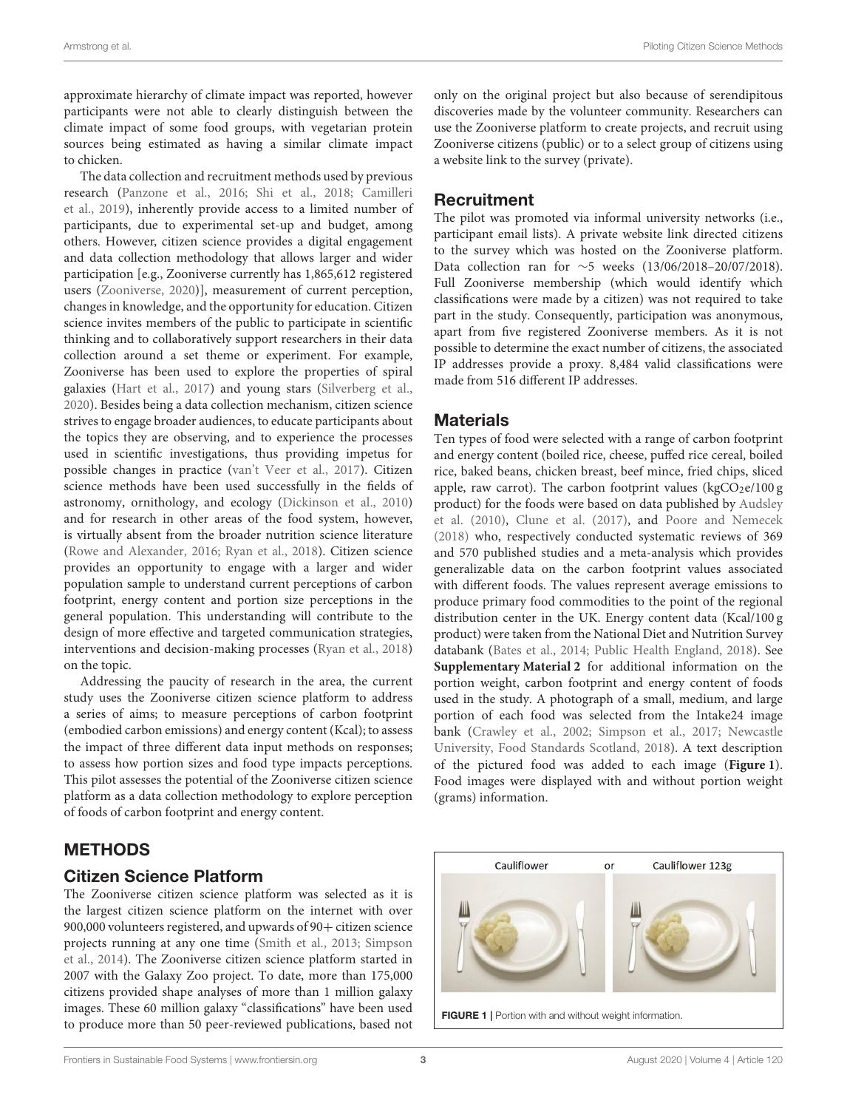approximate hierarchy of climate impact was reported, however participants were not able to clearly distinguish between the climate impact of some food groups, with vegetarian protein sources being estimated as having a similar climate impact to chicken.

The data collection and recruitment methods used by previous research [\(Panzone et al., 2016;](#page-9-18) [Shi et al., 2018;](#page-9-21) Camilleri et al., [2019\)](#page-8-7), inherently provide access to a limited number of participants, due to experimental set-up and budget, among others. However, citizen science provides a digital engagement and data collection methodology that allows larger and wider participation [e.g., Zooniverse currently has 1,865,612 registered users [\(Zooniverse, 2020\)](#page-9-24)], measurement of current perception, changes in knowledge, and the opportunity for education. Citizen science invites members of the public to participate in scientific thinking and to collaboratively support researchers in their data collection around a set theme or experiment. For example, Zooniverse has been used to explore the properties of spiral galaxies [\(Hart et al., 2017\)](#page-9-25) and young stars [\(Silverberg et al.,](#page-9-26) [2020\)](#page-9-26). Besides being a data collection mechanism, citizen science strives to engage broader audiences, to educate participants about the topics they are observing, and to experience the processes used in scientific investigations, thus providing impetus for possible changes in practice [\(van't Veer et al., 2017\)](#page-9-10). Citizen science methods have been used successfully in the fields of astronomy, ornithology, and ecology [\(Dickinson et al., 2010\)](#page-8-9) and for research in other areas of the food system, however, is virtually absent from the broader nutrition science literature [\(Rowe and Alexander, 2016;](#page-9-27) [Ryan et al., 2018\)](#page-9-28). Citizen science provides an opportunity to engage with a larger and wider population sample to understand current perceptions of carbon footprint, energy content and portion size perceptions in the general population. This understanding will contribute to the design of more effective and targeted communication strategies, interventions and decision-making processes [\(Ryan et al., 2018\)](#page-9-28) on the topic.

Addressing the paucity of research in the area, the current study uses the Zooniverse citizen science platform to address a series of aims; to measure perceptions of carbon footprint (embodied carbon emissions) and energy content (Kcal); to assess the impact of three different data input methods on responses; to assess how portion sizes and food type impacts perceptions. This pilot assesses the potential of the Zooniverse citizen science platform as a data collection methodology to explore perception of foods of carbon footprint and energy content.

## METHODS

## Citizen Science Platform

The Zooniverse citizen science platform was selected as it is the largest citizen science platform on the internet with over 900,000 volunteers registered, and upwards of 90+ citizen science projects running at any one time [\(Smith et al., 2013;](#page-9-29) Simpson et al., [2014\)](#page-9-30). The Zooniverse citizen science platform started in 2007 with the Galaxy Zoo project. To date, more than 175,000 citizens provided shape analyses of more than 1 million galaxy images. These 60 million galaxy "classifications" have been used to produce more than 50 peer-reviewed publications, based not only on the original project but also because of serendipitous discoveries made by the volunteer community. Researchers can use the Zooniverse platform to create projects, and recruit using Zooniverse citizens (public) or to a select group of citizens using a website link to the survey (private).

## **Recruitment**

The pilot was promoted via informal university networks (i.e., participant email lists). A private website link directed citizens to the survey which was hosted on the Zooniverse platform. Data collection ran for ∼5 weeks (13/06/2018–20/07/2018). Full Zooniverse membership (which would identify which classifications were made by a citizen) was not required to take part in the study. Consequently, participation was anonymous, apart from five registered Zooniverse members. As it is not possible to determine the exact number of citizens, the associated IP addresses provide a proxy. 8,484 valid classifications were made from 516 different IP addresses.

## **Materials**

Ten types of food were selected with a range of carbon footprint and energy content (boiled rice, cheese, puffed rice cereal, boiled rice, baked beans, chicken breast, beef mince, fried chips, sliced apple, raw carrot). The carbon footprint values  $(kgCO_2e/100 g)$ product) for the foods were based on data published by Audsley et al. [\(2010\)](#page-8-10), [Clune et al. \(2017\)](#page-8-11), and [Poore and Nemecek](#page-9-3) [\(2018\)](#page-9-3) who, respectively conducted systematic reviews of 369 and 570 published studies and a meta-analysis which provides generalizable data on the carbon footprint values associated with different foods. The values represent average emissions to produce primary food commodities to the point of the regional distribution center in the UK. Energy content data (Kcal/100 g product) were taken from the National Diet and Nutrition Survey databank [\(Bates et al., 2014;](#page-8-12) [Public Health England, 2018\)](#page-9-31). See **[Supplementary Material 2](#page-8-13)** for additional information on the portion weight, carbon footprint and energy content of foods used in the study. A photograph of a small, medium, and large portion of each food was selected from the Intake24 image bank [\(Crawley et al., 2002;](#page-8-14) [Simpson et al., 2017;](#page-9-32) Newcastle University, Food Standards Scotland, [2018\)](#page-9-33). A text description of the pictured food was added to each image (**[Figure 1](#page-2-0)**). Food images were displayed with and without portion weight (grams) information.

<span id="page-2-0"></span>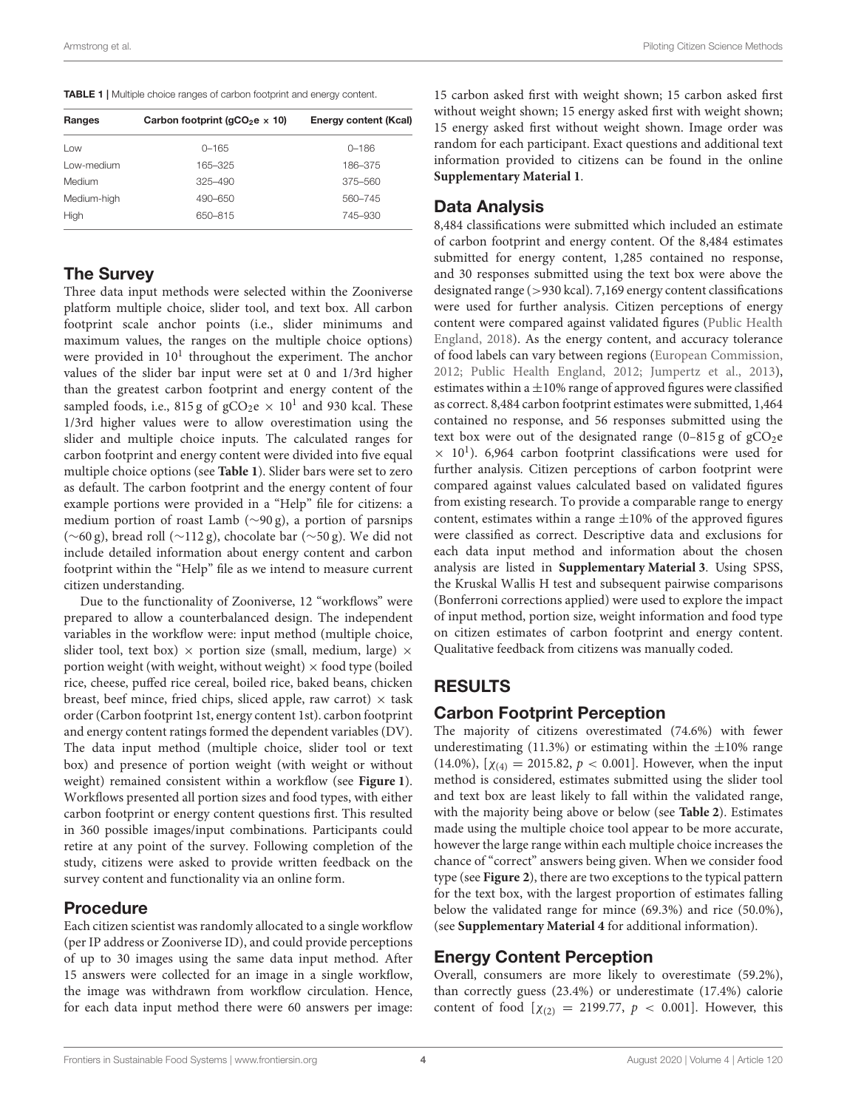<span id="page-3-0"></span>TABLE 1 | Multiple choice ranges of carbon footprint and energy content.

| Ranges      | Carbon footprint ( $qCO2e \times 10$ ) | Energy content (Kcal) |  |
|-------------|----------------------------------------|-----------------------|--|
| Low         | $0 - 165$                              | $0 - 186$             |  |
| Low-medium  | 165-325                                | 186-375               |  |
| Medium      | $325 - 490$                            | 375-560               |  |
| Medium-high | 490-650                                | 560-745               |  |
| High        | 650-815                                | 745-930               |  |

## The Survey

Three data input methods were selected within the Zooniverse platform multiple choice, slider tool, and text box. All carbon footprint scale anchor points (i.e., slider minimums and maximum values, the ranges on the multiple choice options) were provided in  $10^1$  throughout the experiment. The anchor values of the slider bar input were set at 0 and 1/3rd higher than the greatest carbon footprint and energy content of the sampled foods, i.e., 815 g of  $\rm gCO_2e \times 10^1$  and 930 kcal. These 1/3rd higher values were to allow overestimation using the slider and multiple choice inputs. The calculated ranges for carbon footprint and energy content were divided into five equal multiple choice options (see **[Table 1](#page-3-0)**). Slider bars were set to zero as default. The carbon footprint and the energy content of four example portions were provided in a "Help" file for citizens: a medium portion of roast Lamb (∼90 g), a portion of parsnips (∼60 g), bread roll (∼112 g), chocolate bar (∼50 g). We did not include detailed information about energy content and carbon footprint within the "Help" file as we intend to measure current citizen understanding.

Due to the functionality of Zooniverse, 12 "workflows" were prepared to allow a counterbalanced design. The independent variables in the workflow were: input method (multiple choice, slider tool, text box)  $\times$  portion size (small, medium, large)  $\times$ portion weight (with weight, without weight)  $\times$  food type (boiled rice, cheese, puffed rice cereal, boiled rice, baked beans, chicken breast, beef mince, fried chips, sliced apple, raw carrot)  $\times$  task order (Carbon footprint 1st, energy content 1st). carbon footprint and energy content ratings formed the dependent variables (DV). The data input method (multiple choice, slider tool or text box) and presence of portion weight (with weight or without weight) remained consistent within a workflow (see **[Figure 1](#page-2-0)**). Workflows presented all portion sizes and food types, with either carbon footprint or energy content questions first. This resulted in 360 possible images/input combinations. Participants could retire at any point of the survey. Following completion of the study, citizens were asked to provide written feedback on the survey content and functionality via an online form.

## Procedure

Each citizen scientist was randomly allocated to a single workflow (per IP address or Zooniverse ID), and could provide perceptions of up to 30 images using the same data input method. After 15 answers were collected for an image in a single workflow, the image was withdrawn from workflow circulation. Hence, for each data input method there were 60 answers per image: 15 carbon asked first with weight shown; 15 carbon asked first without weight shown; 15 energy asked first with weight shown; 15 energy asked first without weight shown. Image order was random for each participant. Exact questions and additional text information provided to citizens can be found in the online **[Supplementary Material 1](#page-8-13)**.

## Data Analysis

8,484 classifications were submitted which included an estimate of carbon footprint and energy content. Of the 8,484 estimates submitted for energy content, 1,285 contained no response, and 30 responses submitted using the text box were above the designated range (>930 kcal). 7,169 energy content classifications were used for further analysis. Citizen perceptions of energy content were compared against validated figures (Public Health England, [2018\)](#page-9-31). As the energy content, and accuracy tolerance of food labels can vary between regions [\(European Commission,](#page-8-15) [2012;](#page-8-15) [Public Health England, 2012;](#page-9-34) [Jumpertz et al., 2013\)](#page-9-35), estimates within a  $\pm 10\%$  range of approved figures were classified as correct. 8,484 carbon footprint estimates were submitted, 1,464 contained no response, and 56 responses submitted using the text box were out of the designated range  $(0-815 g)$  of  $gCO<sub>2</sub>e$  $\times$  10<sup>1</sup>). 6,964 carbon footprint classifications were used for further analysis. Citizen perceptions of carbon footprint were compared against values calculated based on validated figures from existing research. To provide a comparable range to energy content, estimates within a range  $\pm 10\%$  of the approved figures were classified as correct. Descriptive data and exclusions for each data input method and information about the chosen analysis are listed in **[Supplementary Material 3](#page-8-13)**. Using SPSS, the Kruskal Wallis H test and subsequent pairwise comparisons (Bonferroni corrections applied) were used to explore the impact of input method, portion size, weight information and food type on citizen estimates of carbon footprint and energy content. Qualitative feedback from citizens was manually coded.

# RESULTS

## Carbon Footprint Perception

The majority of citizens overestimated (74.6%) with fewer underestimating (11.3%) or estimating within the  $\pm 10\%$  range (14.0%),  $[\chi_{(4)} = 2015.82, p < 0.001]$ . However, when the input method is considered, estimates submitted using the slider tool and text box are least likely to fall within the validated range, with the majority being above or below (see **[Table 2](#page-4-0)**). Estimates made using the multiple choice tool appear to be more accurate, however the large range within each multiple choice increases the chance of "correct" answers being given. When we consider food type (see **[Figure 2](#page-4-1)**), there are two exceptions to the typical pattern for the text box, with the largest proportion of estimates falling below the validated range for mince (69.3%) and rice (50.0%), (see **[Supplementary Material 4](#page-8-13)** for additional information).

## Energy Content Perception

Overall, consumers are more likely to overestimate (59.2%), than correctly guess (23.4%) or underestimate (17.4%) calorie content of food  $[\chi_{(2)} = 2199.77, p < 0.001]$ . However, this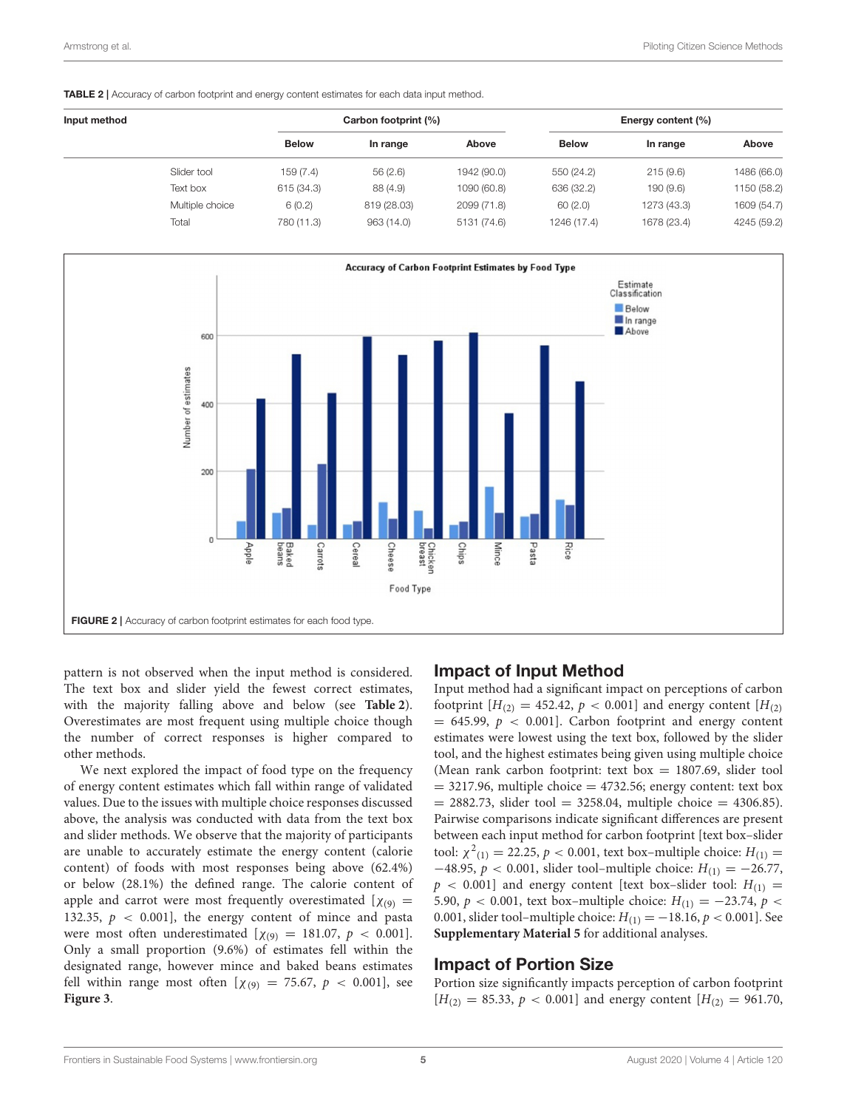<span id="page-4-0"></span>TABLE 2 | Accuracy of carbon footprint and energy content estimates for each data input method.

| Input method |                 |              | Carbon footprint (%) |             |              | Energy content (%) |             |  |
|--------------|-----------------|--------------|----------------------|-------------|--------------|--------------------|-------------|--|
|              |                 | <b>Below</b> | In range             | Above       | <b>Below</b> | In range           | Above       |  |
|              | Slider tool     | 159(7.4)     | 56(2.6)              | 1942 (90.0) | 550 (24.2)   | 215(9.6)           | 1486 (66.0) |  |
|              | Text box        | 615 (34.3)   | 88 (4.9)             | 1090 (60.8) | 636 (32.2)   | 190 (9.6)          | 1150 (58.2) |  |
|              | Multiple choice | 6(0.2)       | 819 (28.03)          | 2099 (71.8) | 60(2.0)      | 1273 (43.3)        | 1609 (54.7) |  |
|              | Total           | 780 (11.3)   | 963 (14.0)           | 5131 (74.6) | 1246 (17.4)  | 1678 (23.4)        | 4245 (59.2) |  |



<span id="page-4-1"></span>pattern is not observed when the input method is considered. The text box and slider yield the fewest correct estimates, with the majority falling above and below (see **[Table 2](#page-4-0)**). Overestimates are most frequent using multiple choice though the number of correct responses is higher compared to other methods.

We next explored the impact of food type on the frequency of energy content estimates which fall within range of validated values. Due to the issues with multiple choice responses discussed above, the analysis was conducted with data from the text box and slider methods. We observe that the majority of participants are unable to accurately estimate the energy content (calorie content) of foods with most responses being above (62.4%) or below (28.1%) the defined range. The calorie content of apple and carrot were most frequently overestimated  $[\chi_{(9)}]$  = 132.35,  $p < 0.001$ , the energy content of mince and pasta were most often underestimated  $[\chi_{(9)} = 181.07, p < 0.001]$ . Only a small proportion (9.6%) of estimates fell within the designated range, however mince and baked beans estimates fell within range most often  $[\chi_{(9)} = 75.67, p < 0.001]$ , see **[Figure 3](#page-5-0)**.

#### Impact of Input Method

Input method had a significant impact on perceptions of carbon footprint  $[H_{(2)} = 452.42, p < 0.001]$  and energy content  $[H_{(2)}]$  $= 645.99$ ,  $p < 0.001$ ]. Carbon footprint and energy content estimates were lowest using the text box, followed by the slider tool, and the highest estimates being given using multiple choice (Mean rank carbon footprint: text box  $= 1807.69$ , slider tool  $=$  3217.96, multiple choice  $=$  4732.56; energy content: text box  $= 2882.73$ , slider tool  $= 3258.04$ , multiple choice  $= 4306.85$ ). Pairwise comparisons indicate significant differences are present between each input method for carbon footprint [text box–slider tool:  $\chi^2_{(1)} = 22.25, p < 0.001$ , text box-multiple choice:  $H_{(1)} =$  $-48.95$ ,  $p < 0.001$ , slider tool–multiple choice:  $H_{(1)} = -26.77$ ,  $p \lt 0.001$ ] and energy content [text box-slider tool:  $H_{(1)} =$ 5.90,  $p < 0.001$ , text box–multiple choice:  $H_{(1)} = -23.74$ ,  $p <$ 0.001, slider tool–multiple choice:  $H_{(1)} = -18.16, p < 0.001$ ]. See **[Supplementary Material 5](#page-8-13)** for additional analyses.

#### Impact of Portion Size

Portion size significantly impacts perception of carbon footprint  $[H_{(2)} = 85.33, p < 0.001]$  and energy content  $[H_{(2)} = 961.70,$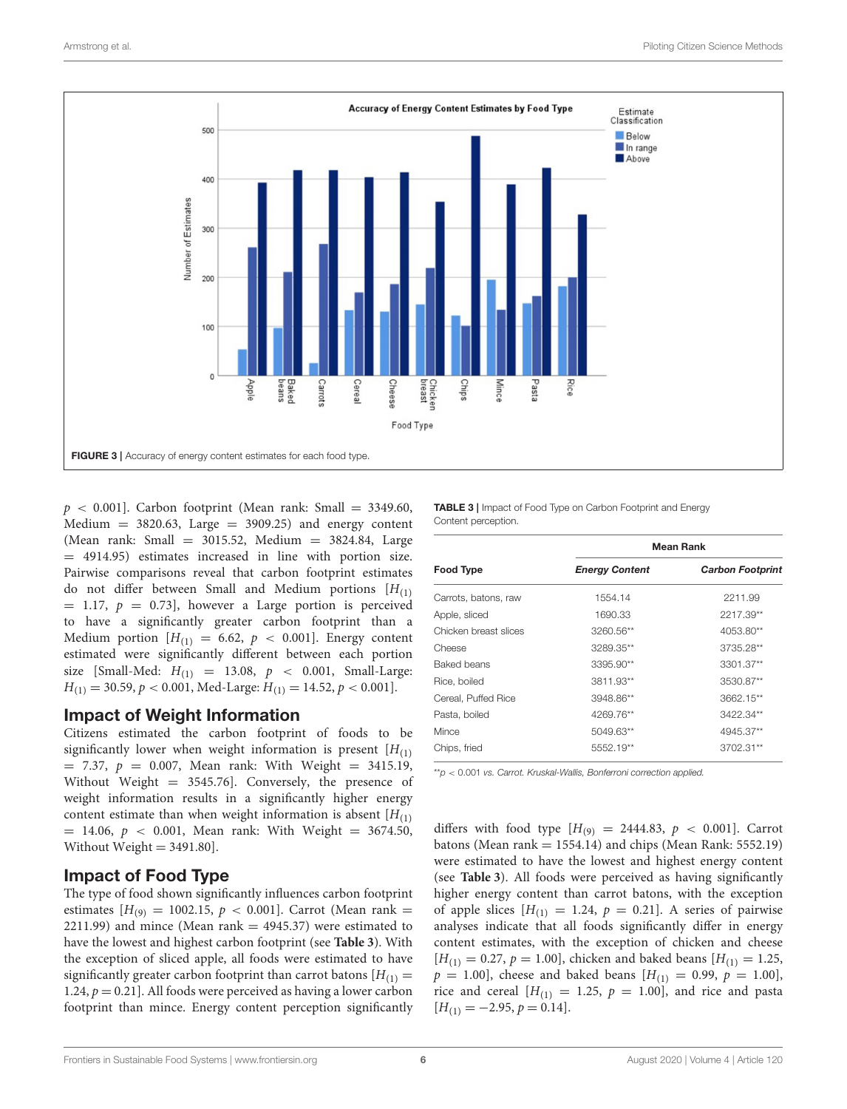

<span id="page-5-0"></span> $p \lt 0.001$ ]. Carbon footprint (Mean rank: Small = 3349.60,  $Median = 3820.63, Large = 3909.25)$  and energy content (Mean rank: Small = 3015.52, Medium = 3824.84, Large  $=$  4914.95) estimates increased in line with portion size. Pairwise comparisons reveal that carbon footprint estimates do not differ between Small and Medium portions  $[H(1)]$  $= 1.17, p = 0.73$ , however a Large portion is perceived to have a significantly greater carbon footprint than a Medium portion  $[H(1)] = 6.62$ ,  $p < 0.001$ . Energy content estimated were significantly different between each portion size [Small-Med:  $H_{(1)} = 13.08, p < 0.001,$  Small-Large:  $H_{(1)} = 30.59, p < 0.001, \text{Med-Large: } H_{(1)} = 14.52, p < 0.001$ .

#### Impact of Weight Information

Citizens estimated the carbon footprint of foods to be significantly lower when weight information is present  $[H(1)]$  $= 7.37, p = 0.007$ , Mean rank: With Weight  $= 3415.19$ , Without Weight = 3545.76]. Conversely, the presence of weight information results in a significantly higher energy content estimate than when weight information is absent  $[H_{(1)}]$  $= 14.06, p < 0.001$ , Mean rank: With Weight  $= 3674.50$ , Without Weight = 3491.80].

## Impact of Food Type

The type of food shown significantly influences carbon footprint estimates  $[H_{(9)} = 1002.15, p < 0.001]$ . Carrot (Mean rank = 2211.99) and mince (Mean rank  $=$  4945.37) were estimated to have the lowest and highest carbon footprint (see **[Table 3](#page-5-1)**). With the exception of sliced apple, all foods were estimated to have significantly greater carbon footprint than carrot batons  $[H_{(1)}]$  = 1.24,  $p = 0.21$ ]. All foods were perceived as having a lower carbon footprint than mince. Energy content perception significantly <span id="page-5-1"></span>TABLE 3 | Impact of Food Type on Carbon Footprint and Energy Content perception.

|                       | <b>Mean Rank</b>      |                         |  |  |  |
|-----------------------|-----------------------|-------------------------|--|--|--|
| <b>Food Type</b>      | <b>Energy Content</b> | <b>Carbon Footprint</b> |  |  |  |
| Carrots, batons, raw  | 1554.14               | 2211.99                 |  |  |  |
| Apple, sliced         | 1690.33               | 2217.39**               |  |  |  |
| Chicken breast slices | $3260.56**$           | 4053.80**               |  |  |  |
| Cheese                | 3289.35**             | 3735.28**               |  |  |  |
| Baked beans           | 3395.90**             | 3301.37**               |  |  |  |
| Rice, boiled          | 3811.93**             | 3530.87**               |  |  |  |
| Cereal, Puffed Rice   | 3948.86**             | $3662.15***$            |  |  |  |
| Pasta, boiled         | 4269.76**             | 3422.34**               |  |  |  |
| Mince                 | 5049.63**             | 4945.37**               |  |  |  |
| Chips, fried          | 5552.19**             | 3702.31**               |  |  |  |

\*\*p < 0.001 vs. Carrot. Kruskal-Wallis, Bonferroni correction applied.

differs with food type  $[H_{(9)} = 2444.83, p < 0.001]$ . Carrot batons (Mean rank  $= 1554.14$ ) and chips (Mean Rank: 5552.19) were estimated to have the lowest and highest energy content (see **[Table 3](#page-5-1)**). All foods were perceived as having significantly higher energy content than carrot batons, with the exception of apple slices  $[H(1) = 1.24, p = 0.21]$ . A series of pairwise analyses indicate that all foods significantly differ in energy content estimates, with the exception of chicken and cheese  $[H_{(1)} = 0.27, p = 1.00]$ , chicken and baked beans  $[H_{(1)} = 1.25,$  $p = 1.00$ , cheese and baked beans  $[H(11)} = 0.99, p = 1.00]$ , rice and cereal  $[H(1)] = 1.25$ ,  $p = 1.00$ , and rice and pasta  $[H_{(1)} = -2.95, p = 0.14].$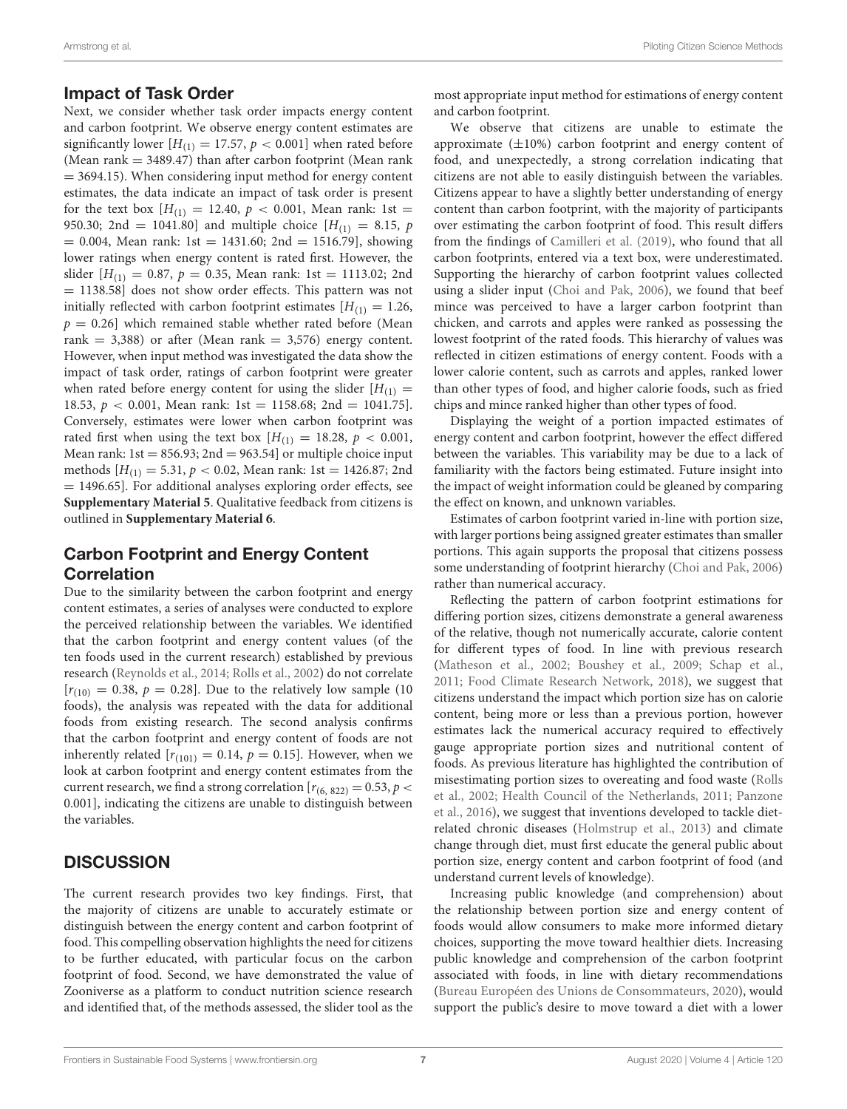## Impact of Task Order

Next, we consider whether task order impacts energy content and carbon footprint. We observe energy content estimates are significantly lower  $[H_{(1)} = 17.57, p < 0.001]$  when rated before (Mean rank  $= 3489.47$ ) than after carbon footprint (Mean rank  $= 3694.15$ ). When considering input method for energy content estimates, the data indicate an impact of task order is present for the text box  $[H(1)] = 12.40, p < 0.001$ , Mean rank: 1st = 950.30; 2nd = 1041.80] and multiple choice  $[H(11)] = 8.15, p$  $= 0.004$ , Mean rank: 1st = 1431.60; 2nd = 1516.79], showing lower ratings when energy content is rated first. However, the slider  $[H_{(1)} = 0.87, p = 0.35, \text{ Mean rank: 1st} = 1113.02; 2nd$  $= 1138.58$ ] does not show order effects. This pattern was not initially reflected with carbon footprint estimates  $[H_{(1)} = 1.26,$  $p = 0.26$ ] which remained stable whether rated before (Mean rank = 3,388) or after (Mean rank = 3,576) energy content. However, when input method was investigated the data show the impact of task order, ratings of carbon footprint were greater when rated before energy content for using the slider  $[H_{(1)}]$ 18.53,  $p < 0.001$ , Mean rank: 1st = 1158.68; 2nd = 1041.75]. Conversely, estimates were lower when carbon footprint was rated first when using the text box  $[H(1)] = 18.28$ ,  $p < 0.001$ , Mean rank:  $1st = 856.93$ ;  $2nd = 963.54$  or multiple choice input methods  $[H_{(1)} = 5.31, p < 0.02, \text{Mean rank: 1st} = 1426.87; 2nd$ = 1496.65]. For additional analyses exploring order effects, see **[Supplementary Material 5](#page-8-13)**. Qualitative feedback from citizens is outlined in **[Supplementary Material 6](#page-8-13)**.

## Carbon Footprint and Energy Content **Correlation**

Due to the similarity between the carbon footprint and energy content estimates, a series of analyses were conducted to explore the perceived relationship between the variables. We identified that the carbon footprint and energy content values (of the ten foods used in the current research) established by previous research [\(Reynolds et al., 2014;](#page-9-6) [Rolls et al., 2002\)](#page-9-11) do not correlate  $[r(10) = 0.38, p = 0.28]$ . Due to the relatively low sample (10) foods), the analysis was repeated with the data for additional foods from existing research. The second analysis confirms that the carbon footprint and energy content of foods are not inherently related  $[r_{(101)} = 0.14, p = 0.15]$ . However, when we look at carbon footprint and energy content estimates from the current research, we find a strong correlation  $[r_{(6, 822)} = 0.53, p <$ 0.001], indicating the citizens are unable to distinguish between the variables.

## **DISCUSSION**

The current research provides two key findings. First, that the majority of citizens are unable to accurately estimate or distinguish between the energy content and carbon footprint of food. This compelling observation highlights the need for citizens to be further educated, with particular focus on the carbon footprint of food. Second, we have demonstrated the value of Zooniverse as a platform to conduct nutrition science research and identified that, of the methods assessed, the slider tool as the most appropriate input method for estimations of energy content and carbon footprint.

We observe that citizens are unable to estimate the approximate  $(\pm 10\%)$  carbon footprint and energy content of food, and unexpectedly, a strong correlation indicating that citizens are not able to easily distinguish between the variables. Citizens appear to have a slightly better understanding of energy content than carbon footprint, with the majority of participants over estimating the carbon footprint of food. This result differs from the findings of [Camilleri et al. \(2019\)](#page-8-7), who found that all carbon footprints, entered via a text box, were underestimated. Supporting the hierarchy of carbon footprint values collected using a slider input [\(Choi and Pak, 2006\)](#page-8-2), we found that beef mince was perceived to have a larger carbon footprint than chicken, and carrots and apples were ranked as possessing the lowest footprint of the rated foods. This hierarchy of values was reflected in citizen estimations of energy content. Foods with a lower calorie content, such as carrots and apples, ranked lower than other types of food, and higher calorie foods, such as fried chips and mince ranked higher than other types of food.

Displaying the weight of a portion impacted estimates of energy content and carbon footprint, however the effect differed between the variables. This variability may be due to a lack of familiarity with the factors being estimated. Future insight into the impact of weight information could be gleaned by comparing the effect on known, and unknown variables.

Estimates of carbon footprint varied in-line with portion size, with larger portions being assigned greater estimates than smaller portions. This again supports the proposal that citizens possess some understanding of footprint hierarchy [\(Choi and Pak, 2006\)](#page-8-2) rather than numerical accuracy.

Reflecting the pattern of carbon footprint estimations for differing portion sizes, citizens demonstrate a general awareness of the relative, though not numerically accurate, calorie content for different types of food. In line with previous research [\(Matheson et al., 2002;](#page-9-36) [Boushey et al., 2009;](#page-8-16) [Schap et al.,](#page-9-37) [2011;](#page-9-37) [Food Climate Research Network, 2018\)](#page-9-38), we suggest that citizens understand the impact which portion size has on calorie content, being more or less than a previous portion, however estimates lack the numerical accuracy required to effectively gauge appropriate portion sizes and nutritional content of foods. As previous literature has highlighted the contribution of misestimating portion sizes to overeating and food waste (Rolls et al., [2002;](#page-9-11) [Health Council of the Netherlands, 2011;](#page-9-4) Panzone et al., [2016\)](#page-9-18), we suggest that inventions developed to tackle dietrelated chronic diseases [\(Holmstrup et al., 2013\)](#page-9-15) and climate change through diet, must first educate the general public about portion size, energy content and carbon footprint of food (and understand current levels of knowledge).

Increasing public knowledge (and comprehension) about the relationship between portion size and energy content of foods would allow consumers to make more informed dietary choices, supporting the move toward healthier diets. Increasing public knowledge and comprehension of the carbon footprint associated with foods, in line with dietary recommendations [\(Bureau Européen des Unions de Consommateurs, 2020\)](#page-8-8), would support the public's desire to move toward a diet with a lower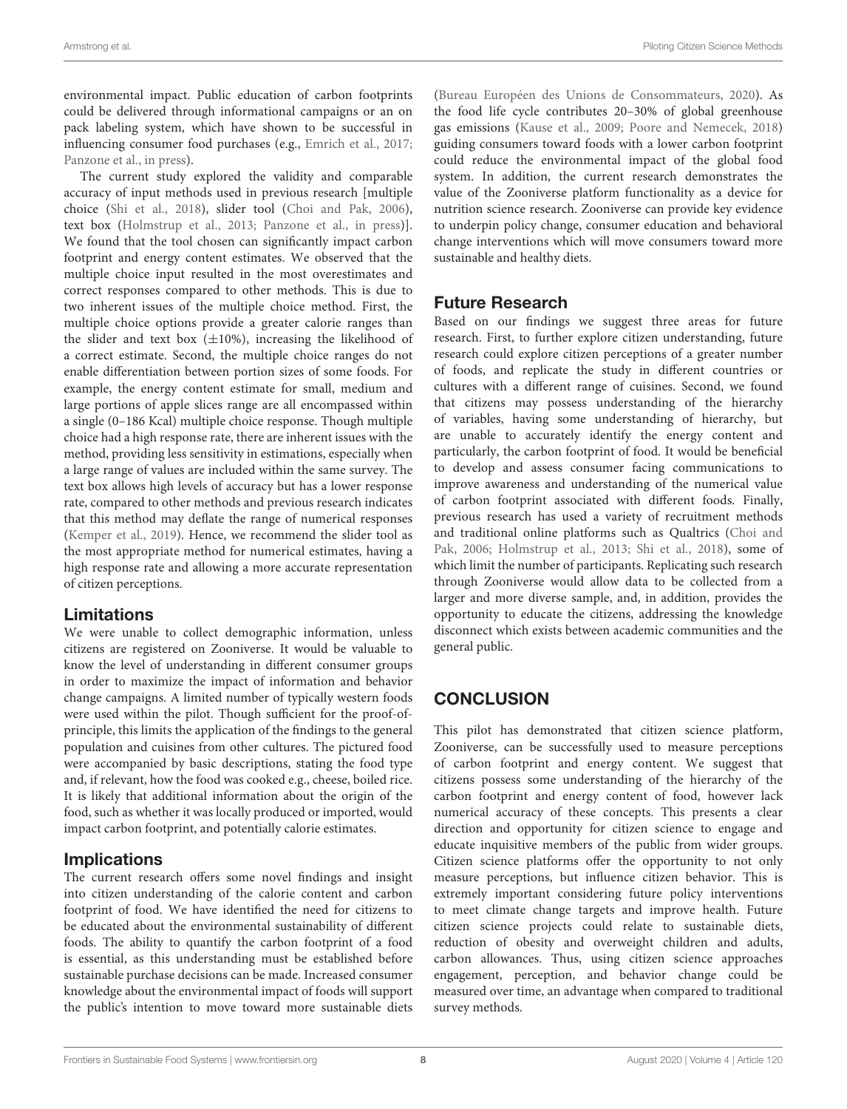environmental impact. Public education of carbon footprints could be delivered through informational campaigns or an on pack labeling system, which have shown to be successful in influencing consumer food purchases (e.g., [Emrich et al., 2017;](#page-8-17) [Panzone et al., in press\)](#page-9-19).

The current study explored the validity and comparable accuracy of input methods used in previous research [multiple choice [\(Shi et al., 2018\)](#page-9-21), slider tool [\(Choi and Pak, 2006\)](#page-8-2), text box [\(Holmstrup et al., 2013;](#page-9-15) [Panzone et al., in press\)](#page-9-19)]. We found that the tool chosen can significantly impact carbon footprint and energy content estimates. We observed that the multiple choice input resulted in the most overestimates and correct responses compared to other methods. This is due to two inherent issues of the multiple choice method. First, the multiple choice options provide a greater calorie ranges than the slider and text box  $(\pm 10\%)$ , increasing the likelihood of a correct estimate. Second, the multiple choice ranges do not enable differentiation between portion sizes of some foods. For example, the energy content estimate for small, medium and large portions of apple slices range are all encompassed within a single (0–186 Kcal) multiple choice response. Though multiple choice had a high response rate, there are inherent issues with the method, providing less sensitivity in estimations, especially when a large range of values are included within the same survey. The text box allows high levels of accuracy but has a lower response rate, compared to other methods and previous research indicates that this method may deflate the range of numerical responses [\(Kemper et al., 2019\)](#page-9-22). Hence, we recommend the slider tool as the most appropriate method for numerical estimates, having a high response rate and allowing a more accurate representation of citizen perceptions.

## Limitations

We were unable to collect demographic information, unless citizens are registered on Zooniverse. It would be valuable to know the level of understanding in different consumer groups in order to maximize the impact of information and behavior change campaigns. A limited number of typically western foods were used within the pilot. Though sufficient for the proof-ofprinciple, this limits the application of the findings to the general population and cuisines from other cultures. The pictured food were accompanied by basic descriptions, stating the food type and, if relevant, how the food was cooked e.g., cheese, boiled rice. It is likely that additional information about the origin of the food, such as whether it was locally produced or imported, would impact carbon footprint, and potentially calorie estimates.

## **Implications**

The current research offers some novel findings and insight into citizen understanding of the calorie content and carbon footprint of food. We have identified the need for citizens to be educated about the environmental sustainability of different foods. The ability to quantify the carbon footprint of a food is essential, as this understanding must be established before sustainable purchase decisions can be made. Increased consumer knowledge about the environmental impact of foods will support the public's intention to move toward more sustainable diets [\(Bureau Européen des Unions de Consommateurs, 2020\)](#page-8-8). As the food life cycle contributes 20–30% of global greenhouse gas emissions [\(Kause et al., 2009;](#page-9-2) [Poore and Nemecek, 2018\)](#page-9-3) guiding consumers toward foods with a lower carbon footprint could reduce the environmental impact of the global food system. In addition, the current research demonstrates the value of the Zooniverse platform functionality as a device for nutrition science research. Zooniverse can provide key evidence to underpin policy change, consumer education and behavioral change interventions which will move consumers toward more sustainable and healthy diets.

## Future Research

Based on our findings we suggest three areas for future research. First, to further explore citizen understanding, future research could explore citizen perceptions of a greater number of foods, and replicate the study in different countries or cultures with a different range of cuisines. Second, we found that citizens may possess understanding of the hierarchy of variables, having some understanding of hierarchy, but are unable to accurately identify the energy content and particularly, the carbon footprint of food. It would be beneficial to develop and assess consumer facing communications to improve awareness and understanding of the numerical value of carbon footprint associated with different foods. Finally, previous research has used a variety of recruitment methods and traditional online platforms such as Qualtrics (Choi and Pak, [2006;](#page-8-2) [Holmstrup et al., 2013;](#page-9-15) [Shi et al., 2018\)](#page-9-21), some of which limit the number of participants. Replicating such research through Zooniverse would allow data to be collected from a larger and more diverse sample, and, in addition, provides the opportunity to educate the citizens, addressing the knowledge disconnect which exists between academic communities and the general public.

# **CONCLUSION**

This pilot has demonstrated that citizen science platform, Zooniverse, can be successfully used to measure perceptions of carbon footprint and energy content. We suggest that citizens possess some understanding of the hierarchy of the carbon footprint and energy content of food, however lack numerical accuracy of these concepts. This presents a clear direction and opportunity for citizen science to engage and educate inquisitive members of the public from wider groups. Citizen science platforms offer the opportunity to not only measure perceptions, but influence citizen behavior. This is extremely important considering future policy interventions to meet climate change targets and improve health. Future citizen science projects could relate to sustainable diets, reduction of obesity and overweight children and adults, carbon allowances. Thus, using citizen science approaches engagement, perception, and behavior change could be measured over time, an advantage when compared to traditional survey methods.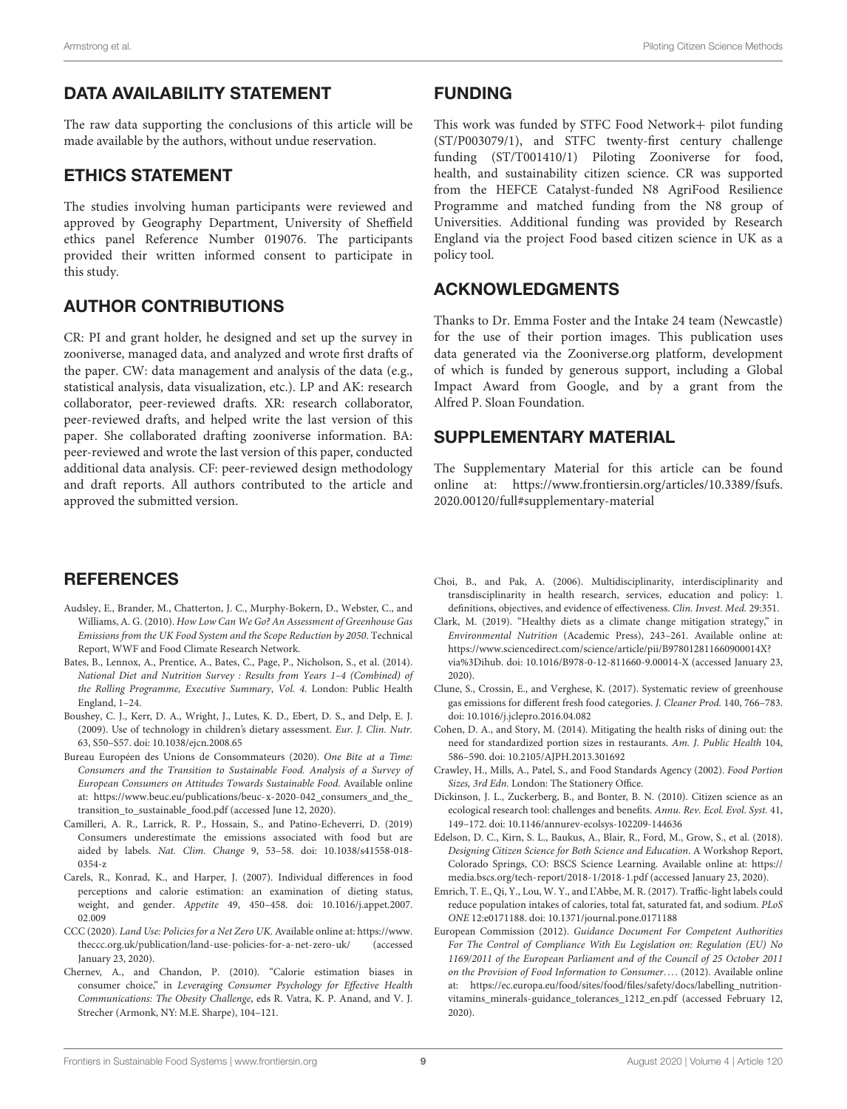## DATA AVAILABILITY STATEMENT

The raw data supporting the conclusions of this article will be made available by the authors, without undue reservation.

## ETHICS STATEMENT

The studies involving human participants were reviewed and approved by Geography Department, University of Sheffield ethics panel Reference Number 019076. The participants provided their written informed consent to participate in this study.

## AUTHOR CONTRIBUTIONS

CR: PI and grant holder, he designed and set up the survey in zooniverse, managed data, and analyzed and wrote first drafts of the paper. CW: data management and analysis of the data (e.g., statistical analysis, data visualization, etc.). LP and AK: research collaborator, peer-reviewed drafts. XR: research collaborator, peer-reviewed drafts, and helped write the last version of this paper. She collaborated drafting zooniverse information. BA: peer-reviewed and wrote the last version of this paper, conducted additional data analysis. CF: peer-reviewed design methodology and draft reports. All authors contributed to the article and approved the submitted version.

#### FUNDING

This work was funded by STFC Food Network+ pilot funding (ST/P003079/1), and STFC twenty-first century challenge funding (ST/T001410/1) Piloting Zooniverse for food, health, and sustainability citizen science. CR was supported from the HEFCE Catalyst-funded N8 AgriFood Resilience Programme and matched funding from the N8 group of Universities. Additional funding was provided by Research England via the project Food based citizen science in UK as a policy tool.

## ACKNOWLEDGMENTS

Thanks to Dr. Emma Foster and the Intake 24 team (Newcastle) for the use of their portion images. This publication uses data generated via the Zooniverse.org platform, development of which is funded by generous support, including a Global Impact Award from Google, and by a grant from the Alfred P. Sloan Foundation.

## SUPPLEMENTARY MATERIAL

<span id="page-8-13"></span>The Supplementary Material for this article can be found [online at: https://www.frontiersin.org/articles/10.3389/fsufs.](https://www.frontiersin.org/articles/10.3389/fsufs.2020.00120/full#supplementary-material) 2020.00120/full#supplementary-material

## **REFERENCES**

- <span id="page-8-10"></span>Audsley, E., Brander, M., Chatterton, J. C., Murphy-Bokern, D., Webster, C., and Williams, A. G. (2010). How Low Can We Go? An Assessment of Greenhouse Gas Emissions from the UK Food System and the Scope Reduction by 2050. Technical Report, WWF and Food Climate Research Network.
- <span id="page-8-12"></span>Bates, B., Lennox, A., Prentice, A., Bates, C., Page, P., Nicholson, S., et al. (2014). National Diet and Nutrition Survey : Results from Years 1–4 (Combined) of the Rolling Programme, Executive Summary, Vol. 4. London: Public Health England, 1–24.
- <span id="page-8-16"></span>Boushey, C. J., Kerr, D. A., Wright, J., Lutes, K. D., Ebert, D. S., and Delp, E. J. (2009). Use of technology in children's dietary assessment. Eur. J. Clin. Nutr. 63, S50–S57. doi: [10.1038/ejcn.2008.65](https://doi.org/10.1038/ejcn.2008.65)
- <span id="page-8-8"></span>Bureau Européen des Unions de Consommateurs (2020). One Bite at a Time: Consumers and the Transition to Sustainable Food. Analysis of a Survey of European Consumers on Attitudes Towards Sustainable Food. Available online at: [https://www.beuc.eu/publications/beuc-x-2020-042\\_consumers\\_and\\_the\\_](https://www.beuc.eu/publications/beuc-x-2020-042_consumers_and_the_transition_to_sustainable_food.pdf) transition to sustainable food.pdf (accessed June 12, 2020).
- <span id="page-8-7"></span>Camilleri, A. R., Larrick, R. P., Hossain, S., and Patino-Echeverri, D. (2019) Consumers underestimate the emissions associated with food but are aided by labels. Nat. Clim. Change [9, 53–58. doi: 10.1038/s41558-018-](https://doi.org/10.1038/s41558-018-0354-z) 0354-z
- <span id="page-8-3"></span>Carels, R., Konrad, K., and Harper, J. (2007). Individual differences in food perceptions and calorie estimation: an examination of dieting status, weight, and gender. Appetite [49, 450–458. doi: 10.1016/j.appet.2007.](https://doi.org/10.1016/j.appet.2007.02.009) 02.009
- <span id="page-8-1"></span>CCC (2020). Land Use: Policies for a Net Zero UK. Available online at: [https://www.](https://www.theccc.org.uk/publication/land-use-policies-for-a-net-zero-uk/) [theccc.org.uk/publication/land-use-policies-for-a-net-zero-uk/](https://www.theccc.org.uk/publication/land-use-policies-for-a-net-zero-uk/) (accessed January 23, 2020).
- <span id="page-8-4"></span>Chernev, A., and Chandon, P. (2010). "Calorie estimation biases in consumer choice," in Leveraging Consumer Psychology for Effective Health Communications: The Obesity Challenge, eds R. Vatra, K. P. Anand, and V. J. Strecher (Armonk, NY: M.E. Sharpe), 104–121.
- <span id="page-8-2"></span>Choi, B., and Pak, A. (2006). Multidisciplinarity, interdisciplinarity and transdisciplinarity in health research, services, education and policy: 1. definitions, objectives, and evidence of effectiveness. Clin. Invest. Med. 29:351.
- <span id="page-8-0"></span>Clark, M. (2019). "Healthy diets as a climate change mitigation strategy," in Environmental Nutrition (Academic Press), 243–261. Available online at: [https://www.sciencedirect.com/science/article/pii/B978012811660900014X?](https://www.sciencedirect.com/science/article/pii/B978012811660900014X?via%3Dihub) [via%3Dihub.](https://www.sciencedirect.com/science/article/pii/B978012811660900014X?via%3Dihub) doi: [10.1016/B978-0-12-811660-9.00014-X](https://doi.org/10.1016/B978-0-12-811660-9.00014-X) (accessed January 23, 2020).
- <span id="page-8-11"></span>Clune, S., Crossin, E., and Verghese, K. (2017). Systematic review of greenhouse gas emissions for different fresh food categories. J. Cleaner Prod. 140, 766–783. doi: [10.1016/j.jclepro.2016.04.082](https://doi.org/10.1016/j.jclepro.2016.04.082)
- <span id="page-8-5"></span>Cohen, D. A., and Story, M. (2014). Mitigating the health risks of dining out: the need for standardized portion sizes in restaurants. Am. J. Public Health 104, 586–590. doi: [10.2105/AJPH.2013.301692](https://doi.org/10.2105/AJPH.2013.301692)
- <span id="page-8-14"></span>Crawley, H., Mills, A., Patel, S., and Food Standards Agency (2002). Food Portion Sizes, 3rd Edn. London: The Stationery Office.
- <span id="page-8-9"></span>Dickinson, J. L., Zuckerberg, B., and Bonter, B. N. (2010). Citizen science as an ecological research tool: challenges and benefits. Annu. Rev. Ecol. Evol. Syst. 41, 149–172. doi: [10.1146/annurev-ecolsys-102209-144636](https://doi.org/10.1146/annurev-ecolsys-102209-144636)
- <span id="page-8-6"></span>Edelson, D. C., Kirn, S. L., Baukus, A., Blair, R., Ford, M., Grow, S., et al. (2018). Designing Citizen Science for Both Science and Education. A Workshop Report, Colorado Springs, CO: BSCS Science Learning. Available online at: [https://](https://media.bscs.org/tech-report/2018-1/2018-1.pdf) [media.bscs.org/tech-report/2018-1/2018-1.pdf](https://media.bscs.org/tech-report/2018-1/2018-1.pdf) (accessed January 23, 2020).
- <span id="page-8-17"></span>Emrich, T. E., Qi, Y., Lou, W. Y., and L'Abbe, M. R. (2017). Traffic-light labels could reduce population intakes of calories, total fat, saturated fat, and sodium. PLoS ONE 12:e0171188. doi: [10.1371/journal.pone.0171188](https://doi.org/10.1371/journal.pone.0171188)
- <span id="page-8-15"></span>European Commission (2012). Guidance Document For Competent Authorities For The Control of Compliance With Eu Legislation on: Regulation (EU) No 1169/2011 of the European Parliament and of the Council of 25 October 2011 on the Provision of Food Information to Consumer.... (2012). Available online at: [https://ec.europa.eu/food/sites/food/files/safety/docs/labelling\\_nutrition](https://ec.europa.eu/food/sites/food/files/safety/docs/labelling_nutrition-vitamins_minerals-guidance_tolerances_1212_en.pdf)[vitamins\\_minerals-guidance\\_tolerances\\_1212\\_en.pdf](https://ec.europa.eu/food/sites/food/files/safety/docs/labelling_nutrition-vitamins_minerals-guidance_tolerances_1212_en.pdf) (accessed February 12, 2020).